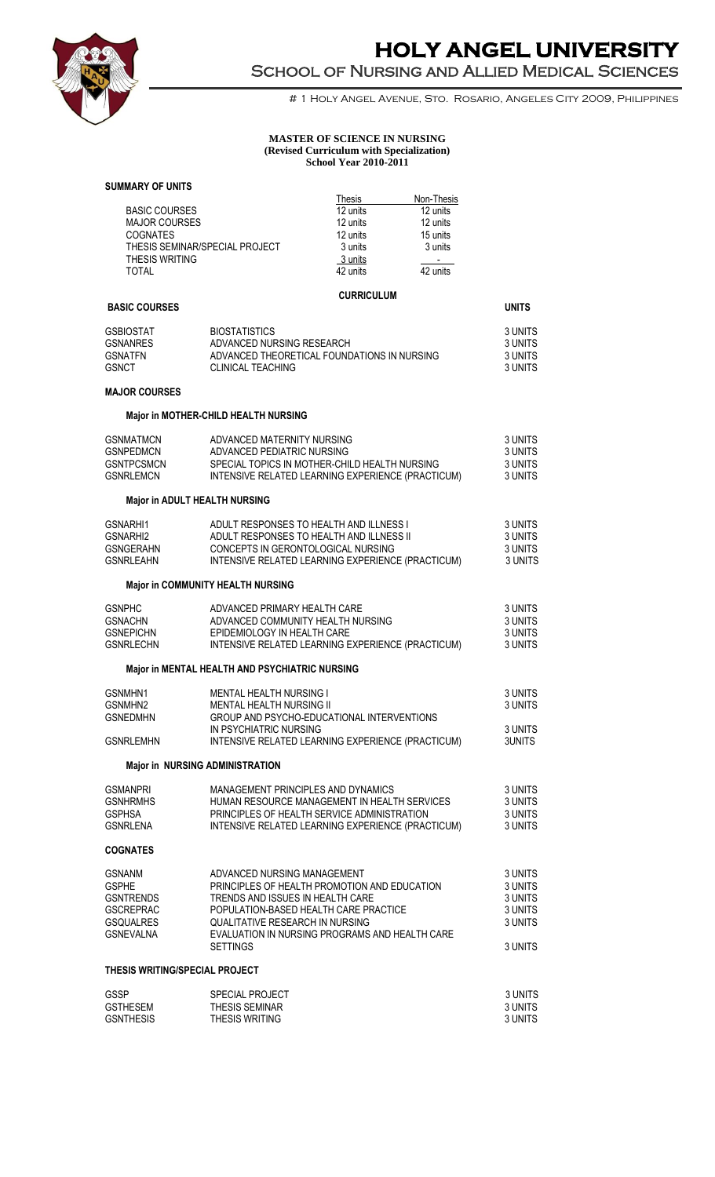

# **HOLY ANGEL UNIVERSITY**  School of Nursing and Allied Medical Sciences

# 1 Holy Angel Avenue, Sto. Rosario, Angeles City 2009, Philippines

#### **MASTER OF SCIENCE IN NURSING (Revised Curriculum with Specialization) School Year 2010-2011**

#### **SUMMARY OF UNITS**

|                                                                                                               |                                                                                                                                                                                                                                                                  | Thesis                           | Non-Thesis                               |                                                                |
|---------------------------------------------------------------------------------------------------------------|------------------------------------------------------------------------------------------------------------------------------------------------------------------------------------------------------------------------------------------------------------------|----------------------------------|------------------------------------------|----------------------------------------------------------------|
| <b>BASIC COURSES</b><br><b>MAJOR COURSES</b><br><b>COGNATES</b>                                               |                                                                                                                                                                                                                                                                  | 12 units<br>12 units<br>12 units | 12 units<br>12 units<br>15 units         |                                                                |
| THESIS SEMINAR/SPECIAL PROJECT<br><b>THESIS WRITING</b><br>TOTAL                                              |                                                                                                                                                                                                                                                                  | 3 units<br>3 units<br>42 units   | 3 units<br>$\sim 10^{-11}$<br>42 units   |                                                                |
| <b>BASIC COURSES</b>                                                                                          |                                                                                                                                                                                                                                                                  | <b>CURRICULUM</b>                |                                          | <b>UNITS</b>                                                   |
| <b>GSBIOSTAT</b><br><b>GSNANRES</b><br><b>GSNATFN</b><br><b>GSNCT</b>                                         | <b>BIOSTATISTICS</b><br>ADVANCED NURSING RESEARCH<br>ADVANCED THEORETICAL FOUNDATIONS IN NURSING<br><b>CLINICAL TEACHING</b>                                                                                                                                     |                                  |                                          | 3 UNITS<br>3 UNITS<br>3 UNITS<br>3 UNITS                       |
| <b>MAJOR COURSES</b>                                                                                          |                                                                                                                                                                                                                                                                  |                                  |                                          |                                                                |
|                                                                                                               | Major in MOTHER-CHILD HEALTH NURSING                                                                                                                                                                                                                             |                                  |                                          |                                                                |
| <b>GSNMATMCN</b><br><b>GSNPEDMCN</b><br><b>GSNTPCSMCN</b><br><b>GSNRLEMCN</b>                                 | ADVANCED MATERNITY NURSING<br>ADVANCED PEDIATRIC NURSING<br>SPECIAL TOPICS IN MOTHER-CHILD HEALTH NURSING<br>INTENSIVE RELATED LEARNING EXPERIENCE (PRACTICUM)                                                                                                   |                                  | 3 UNITS<br>3 UNITS<br>3 UNITS<br>3 UNITS |                                                                |
| <b>Major in ADULT HEALTH NURSING</b>                                                                          |                                                                                                                                                                                                                                                                  |                                  |                                          |                                                                |
| GSNARHI1<br>GSNARHI2<br><b>GSNGERAHN</b><br><b>GSNRLEAHN</b>                                                  | ADULT RESPONSES TO HEALTH AND ILLNESS I<br>ADULT RESPONSES TO HEALTH AND ILLNESS II<br>CONCEPTS IN GERONTOLOGICAL NURSING<br>INTENSIVE RELATED LEARNING EXPERIENCE (PRACTICUM)                                                                                   |                                  |                                          | 3 UNITS<br>3 UNITS<br>3 UNITS<br>3 UNITS                       |
|                                                                                                               | Major in COMMUNITY HEALTH NURSING                                                                                                                                                                                                                                |                                  |                                          |                                                                |
| <b>GSNPHC</b><br><b>GSNACHN</b><br><b>GSNEPICHN</b><br><b>GSNRLECHN</b>                                       | ADVANCED PRIMARY HEALTH CARE<br>ADVANCED COMMUNITY HEALTH NURSING<br>EPIDEMIOLOGY IN HEALTH CARE<br>INTENSIVE RELATED LEARNING EXPERIENCE (PRACTICUM)                                                                                                            |                                  |                                          | 3 UNITS<br>3 UNITS<br>3 UNITS<br>3 UNITS                       |
|                                                                                                               | Major in MENTAL HEALTH AND PSYCHIATRIC NURSING                                                                                                                                                                                                                   |                                  |                                          |                                                                |
| GSNMHN1<br>GSNMHN2<br><b>GSNEDMHN</b>                                                                         | <b>MENTAL HEALTH NURSING I</b><br>MENTAL HEALTH NURSING II<br>GROUP AND PSYCHO-EDUCATIONAL INTERVENTIONS<br>IN PSYCHIATRIC NURSING                                                                                                                               |                                  |                                          | 3 UNITS<br>3 UNITS<br>3 UNITS                                  |
| <b>GSNRLEMHN</b>                                                                                              | INTENSIVE RELATED LEARNING EXPERIENCE (PRACTICUM)                                                                                                                                                                                                                |                                  |                                          | 3UNITS                                                         |
| <b>Major in NURSING ADMINISTRATION</b>                                                                        |                                                                                                                                                                                                                                                                  |                                  |                                          |                                                                |
| <b>GSMANPRI</b><br><b>GSNHRMHS</b><br><b>GSPHSA</b><br><b>GSNRLENA</b>                                        | MANAGEMENT PRINCIPLES AND DYNAMICS<br>HUMAN RESOURCE MANAGEMENT IN HEALTH SERVICES<br>PRINCIPLES OF HEALTH SERVICE ADMINISTRATION<br>INTENSIVE RELATED LEARNING EXPERIENCE (PRACTICUM)                                                                           |                                  |                                          | 3 UNITS<br>3 UNITS<br>3 UNITS<br>3 UNITS                       |
| <b>COGNATES</b>                                                                                               |                                                                                                                                                                                                                                                                  |                                  |                                          |                                                                |
| <b>GSNANM</b><br><b>GSPHE</b><br><b>GSNTRENDS</b><br><b>GSCREPRAC</b><br><b>GSQUALRES</b><br><b>GSNEVALNA</b> | ADVANCED NURSING MANAGEMENT<br>PRINCIPLES OF HEALTH PROMOTION AND EDUCATION<br>TRENDS AND ISSUES IN HEALTH CARE<br>POPULATION-BASED HEALTH CARE PRACTICE<br>QUALITATIVE RESEARCH IN NURSING<br>EVALUATION IN NURSING PROGRAMS AND HEALTH CARE<br><b>SETTINGS</b> |                                  |                                          | 3 UNITS<br>3 UNITS<br>3 UNITS<br>3 UNITS<br>3 UNITS<br>3 UNITS |
| THESIS WRITING/SPECIAL PROJECT                                                                                |                                                                                                                                                                                                                                                                  |                                  |                                          |                                                                |
| GSSP<br><b>GSTHESEM</b><br><b>GSNTHESIS</b>                                                                   | <b>SPECIAL PROJECT</b><br>THESIS SEMINAR<br>THESIS WRITING                                                                                                                                                                                                       |                                  |                                          | 3 UNITS<br>3 UNITS<br>3 UNITS                                  |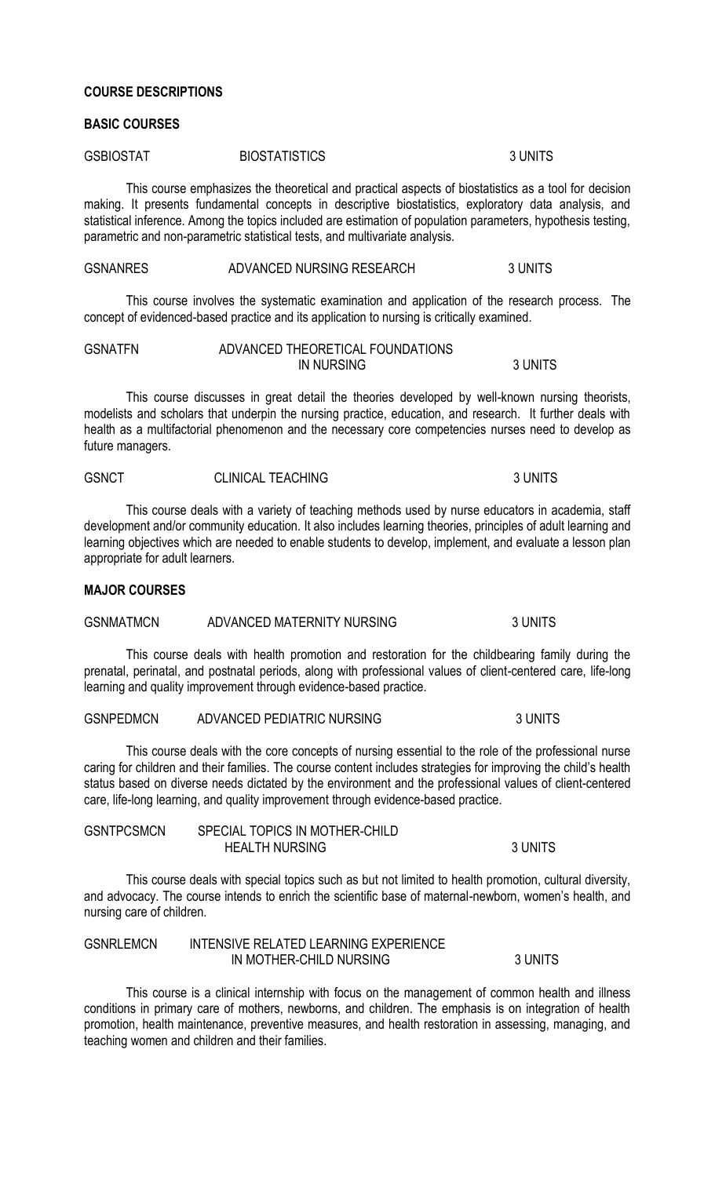#### **COURSE DESCRIPTIONS**

### **BASIC COURSES**

| <b>GSBIOSTAT</b><br><b>BIOSTATISTICS</b> | 3 UNITS |
|------------------------------------------|---------|
|------------------------------------------|---------|

This course emphasizes the theoretical and practical aspects of biostatistics as a tool for decision making. It presents fundamental concepts in descriptive biostatistics, exploratory data analysis, and statistical inference. Among the topics included are estimation of population parameters, hypothesis testing, parametric and non-parametric statistical tests, and multivariate analysis.

#### GSNANRES ADVANCED NURSING RESEARCH 3 UNITS

This course involves the systematic examination and application of the research process. The concept of evidenced-based practice and its application to nursing is critically examined.

| <b>GSNATFN</b> | ADVANCED THEORETICAL FOUNDATIONS |         |
|----------------|----------------------------------|---------|
|                | <b>IN NURSING</b>                | 3 UNITS |

This course discusses in great detail the theories developed by well-known nursing theorists, modelists and scholars that underpin the nursing practice, education, and research. It further deals with health as a multifactorial phenomenon and the necessary core competencies nurses need to develop as future managers.

| <b>GSNCT</b> | <b>CLINICAL TEACHING</b> | 3 UNITS |
|--------------|--------------------------|---------|
|              |                          |         |

This course deals with a variety of teaching methods used by nurse educators in academia, staff development and/or community education. It also includes learning theories, principles of adult learning and learning objectives which are needed to enable students to develop, implement, and evaluate a lesson plan appropriate for adult learners.

#### **MAJOR COURSES**

## GSNMATMCN ADVANCED MATERNITY NURSING 3 UNITS

This course deals with health promotion and restoration for the childbearing family during the prenatal, perinatal, and postnatal periods, along with professional values of client-centered care, life-long learning and quality improvement through evidence-based practice.

| <b>GSNPEDMCN</b> | ADVANCED PEDIATRIC NURSING | 3 UNITS |
|------------------|----------------------------|---------|
|------------------|----------------------------|---------|

This course deals with the core concepts of nursing essential to the role of the professional nurse caring for children and their families. The course content includes strategies for improving the child's health status based on diverse needs dictated by the environment and the professional values of client-centered care, life-long learning, and quality improvement through evidence-based practice.

| <b>GSNTPCSMCN</b> | SPECIAL TOPICS IN MOTHER-CHILD |         |
|-------------------|--------------------------------|---------|
|                   | <b>HEALTH NURSING</b>          | 3 UNITS |

This course deals with special topics such as but not limited to health promotion, cultural diversity, and advocacy. The course intends to enrich the scientific base of maternal-newborn, women's health, and nursing care of children.

| <b>GSNRLEMCN</b> | INTENSIVE RELATED LEARNING EXPERIENCE |         |
|------------------|---------------------------------------|---------|
|                  | IN MOTHER-CHILD NURSING               | 3 UNITS |

This course is a clinical internship with focus on the management of common health and illness conditions in primary care of mothers, newborns, and children. The emphasis is on integration of health promotion, health maintenance, preventive measures, and health restoration in assessing, managing, and teaching women and children and their families.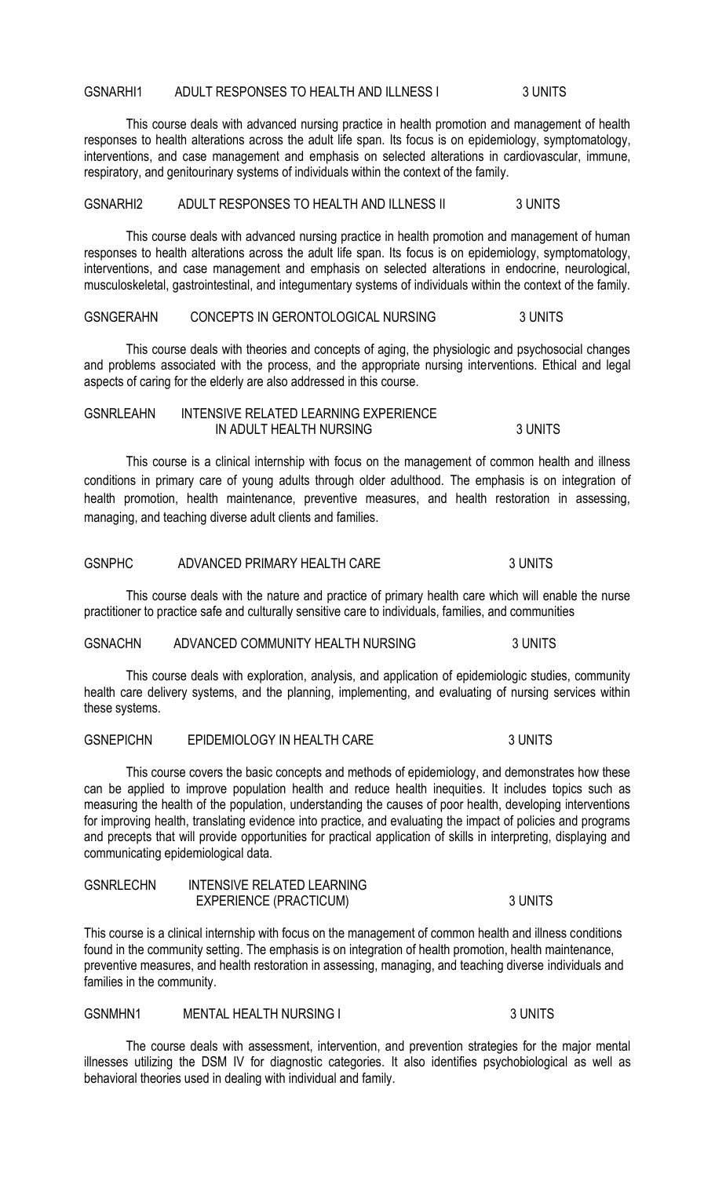GSNARHI1 ADULT RESPONSES TO HEALTH AND ILLNESS I 3 UNITS

This course deals with advanced nursing practice in health promotion and management of health responses to health alterations across the adult life span. Its focus is on epidemiology, symptomatology, interventions, and case management and emphasis on selected alterations in cardiovascular, immune, respiratory, and genitourinary systems of individuals within the context of the family.

GSNARHI2 ADULT RESPONSES TO HEALTH AND ILLNESS II 3 UNITS

This course deals with advanced nursing practice in health promotion and management of human responses to health alterations across the adult life span. Its focus is on epidemiology, symptomatology, interventions, and case management and emphasis on selected alterations in endocrine, neurological, musculoskeletal, gastrointestinal, and integumentary systems of individuals within the context of the family.

GSNGERAHN CONCEPTS IN GERONTOLOGICAL NURSING 3 UNITS

This course deals with theories and concepts of aging, the physiologic and psychosocial changes and problems associated with the process, and the appropriate nursing interventions. Ethical and legal aspects of caring for the elderly are also addressed in this course.

#### GSNRLEAHN INTENSIVE RELATED LEARNING EXPERIENCE IN ADULT HEALTH NURSING **3 UNITS**

This course is a clinical internship with focus on the management of common health and illness conditions in primary care of young adults through older adulthood. The emphasis is on integration of health promotion, health maintenance, preventive measures, and health restoration in assessing, managing, and teaching diverse adult clients and families.

### GSNPHC ADVANCED PRIMARY HEALTH CARE 3 UNITS

This course deals with the nature and practice of primary health care which will enable the nurse practitioner to practice safe and culturally sensitive care to individuals, families, and communities

#### GSNACHN ADVANCED COMMUNITY HEALTH NURSING 3 UNITS

This course deals with exploration, analysis, and application of epidemiologic studies, community health care delivery systems, and the planning, implementing, and evaluating of nursing services within these systems.

### GSNEPICHN EPIDEMIOLOGY IN HEALTH CARE 3 UNITS

This course covers the basic concepts and methods of epidemiology, and demonstrates how these can be applied to improve population health and reduce health inequities. It includes topics such as measuring the health of the population, understanding the causes of poor health, developing interventions for improving health, translating evidence into practice, and evaluating the impact of policies and programs and precepts that will provide opportunities for practical application of skills in interpreting, displaying and communicating epidemiological data.

| <b>GSNRLECHN</b> | <b>INTENSIVE RELATED LEARNING</b> |         |
|------------------|-----------------------------------|---------|
|                  | <b>EXPERIENCE (PRACTICUM)</b>     | 3 UNITS |

This course is a clinical internship with focus on the management of common health and illness conditions found in the community setting. The emphasis is on integration of health promotion, health maintenance, preventive measures, and health restoration in assessing, managing, and teaching diverse individuals and families in the community.

GSNMHN1 MENTAL HEALTH NURSING I 3 UNITS

The course deals with assessment, intervention, and prevention strategies for the major mental illnesses utilizing the DSM IV for diagnostic categories. It also identifies psychobiological as well as behavioral theories used in dealing with individual and family.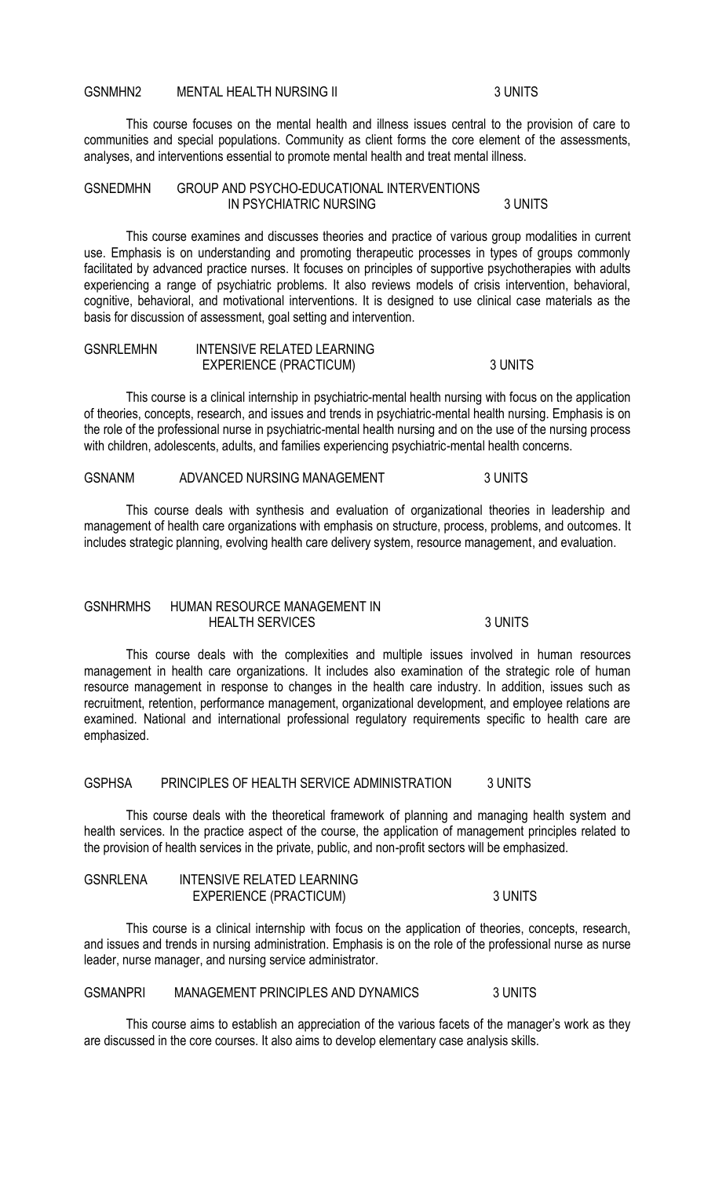#### GSNMHN2 MENTAL HEALTH NURSING II 3 UNITS

This course focuses on the mental health and illness issues central to the provision of care to communities and special populations. Community as client forms the core element of the assessments, analyses, and interventions essential to promote mental health and treat mental illness.

#### GSNEDMHN GROUP AND PSYCHO-EDUCATIONAL INTERVENTIONS IN PSYCHIATRIC NURSING 3 UNITS

This course examines and discusses theories and practice of various group modalities in current use. Emphasis is on understanding and promoting therapeutic processes in types of groups commonly facilitated by advanced practice nurses. It focuses on principles of supportive psychotherapies with adults experiencing a range of psychiatric problems. It also reviews models of crisis intervention, behavioral, cognitive, behavioral, and motivational interventions. It is designed to use clinical case materials as the basis for discussion of assessment, goal setting and intervention.

| <b>GSNRLEMHN</b> | INTENSIVE RELATED LEARNING    |         |
|------------------|-------------------------------|---------|
|                  | <b>EXPERIENCE (PRACTICUM)</b> | 3 UNITS |

This course is a clinical internship in psychiatric-mental health nursing with focus on the application of theories, concepts, research, and issues and trends in psychiatric-mental health nursing. Emphasis is on the role of the professional nurse in psychiatric-mental health nursing and on the use of the nursing process with children, adolescents, adults, and families experiencing psychiatric-mental health concerns.

GSNANM ADVANCED NURSING MANAGEMENT 3 UNITS

This course deals with synthesis and evaluation of organizational theories in leadership and management of health care organizations with emphasis on structure, process, problems, and outcomes. It includes strategic planning, evolving health care delivery system, resource management, and evaluation.

### GSNHRMHS HUMAN RESOURCE MANAGEMENT IN HEALTH SERVICES 3 UNITS

This course deals with the complexities and multiple issues involved in human resources management in health care organizations. It includes also examination of the strategic role of human resource management in response to changes in the health care industry. In addition, issues such as recruitment, retention, performance management, organizational development, and employee relations are examined. National and international professional regulatory requirements specific to health care are emphasized.

## GSPHSA PRINCIPLES OF HEALTH SERVICE ADMINISTRATION 3 UNITS

This course deals with the theoretical framework of planning and managing health system and health services. In the practice aspect of the course, the application of management principles related to the provision of health services in the private, public, and non-profit sectors will be emphasized.

| <b>GSNRLENA</b> | INTENSIVE RELATED LEARNING    |         |
|-----------------|-------------------------------|---------|
|                 | <b>EXPERIENCE (PRACTICUM)</b> | 3 UNITS |

This course is a clinical internship with focus on the application of theories, concepts, research, and issues and trends in nursing administration. Emphasis is on the role of the professional nurse as nurse leader, nurse manager, and nursing service administrator.

# GSMANPRI MANAGEMENT PRINCIPLES AND DYNAMICS 3 UNITS

This course aims to establish an appreciation of the various facets of the manager's work as they are discussed in the core courses. It also aims to develop elementary case analysis skills.